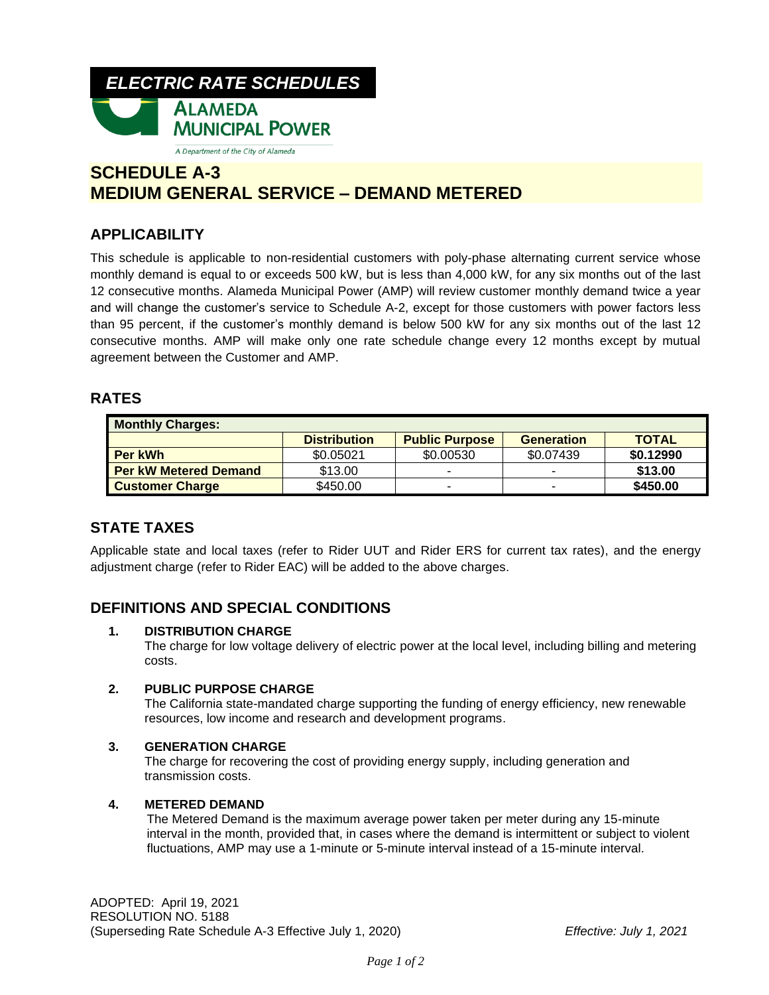

# **SCHEDULE A-3 MEDIUM GENERAL SERVICE – DEMAND METERED**

## **APPLICABILITY**

This schedule is applicable to non-residential customers with poly-phase alternating current service whose monthly demand is equal to or exceeds 500 kW, but is less than 4,000 kW, for any six months out of the last 12 consecutive months. Alameda Municipal Power (AMP) will review customer monthly demand twice a year and will change the customer's service to Schedule A-2, except for those customers with power factors less than 95 percent, if the customer's monthly demand is below 500 kW for any six months out of the last 12 consecutive months. AMP will make only one rate schedule change every 12 months except by mutual agreement between the Customer and AMP.

### **RATES**

| <b>Monthly Charges:</b>      |                     |                          |                   |              |
|------------------------------|---------------------|--------------------------|-------------------|--------------|
|                              | <b>Distribution</b> | <b>Public Purpose</b>    | <b>Generation</b> | <b>TOTAL</b> |
| <b>Per kWh</b>               | \$0.05021           | \$0.00530                | \$0.07439         | \$0.12990    |
| <b>Per kW Metered Demand</b> | \$13.00             | $\overline{\phantom{a}}$ | -                 | \$13.00      |
| <b>Customer Charge</b>       | \$450.00            | $\overline{\phantom{a}}$ | -                 | \$450.00     |

### **STATE TAXES**

Applicable state and local taxes (refer to Rider UUT and Rider ERS for current tax rates), and the energy adjustment charge (refer to Rider EAC) will be added to the above charges.

### **DEFINITIONS AND SPECIAL CONDITIONS**

#### **1. DISTRIBUTION CHARGE**

The charge for low voltage delivery of electric power at the local level, including billing and metering costs.

#### **2. PUBLIC PURPOSE CHARGE**

The California state-mandated charge supporting the funding of energy efficiency, new renewable resources, low income and research and development programs.

#### **3. GENERATION CHARGE**

The charge for recovering the cost of providing energy supply, including generation and transmission costs.

#### **4. METERED DEMAND**

The Metered Demand is the maximum average power taken per meter during any 15-minute interval in the month, provided that, in cases where the demand is intermittent or subject to violent fluctuations, AMP may use a 1-minute or 5-minute interval instead of a 15-minute interval.